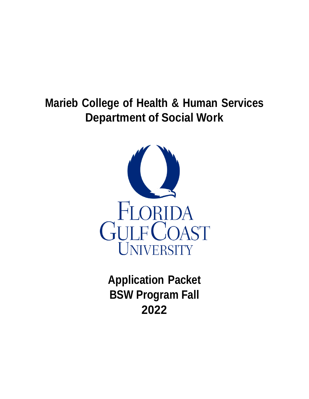# **Marieb College of Health & Human Services Department of Social Work**



**Application Packet BSW Program Fall 2022**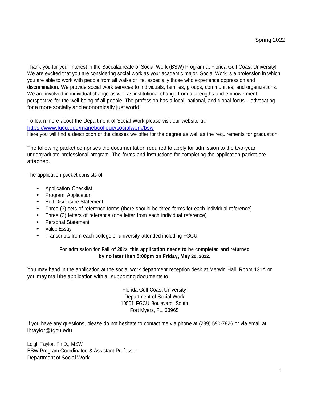Thank you for your interest in the Baccalaureate of Social Work (BSW) Program at Florida Gulf Coast University! We are excited that you are considering social work as your academic major. Social Work is a profession in which you are able to work with people from all walks of life, especially those who experience oppression and discrimination. We provide social work services to individuals, families, groups, communities, and organizations. We are involved in individual change as well as institutional change from a strengths and empowerment perspective for the well-being of all people. The profession has a local, national, and global focus – advocating for a more socially and economically just world.

To learn more about the Department of Social Work please visit our website at:

<https://www.fgcu.edu/mariebcollege/socialwork/bsw>

Here you will find a description of the classes we offer for the degree as well as the requirements for graduation.

The following packet comprises the documentation required to apply for admission to the two-year undergraduate professional program. The forms and instructions for completing the application packet are attached.

The application packet consists of:

- Application Checklist
- Program Application
- Self-Disclosure Statement
- Three (3) sets of reference forms (there should be three forms for each individual reference)
- Three (3) letters of reference (one letter from each individual reference)
- Personal Statement
- Value Essay
- Transcripts from each college or university attended including FGCU

#### **For admission for Fall of 2022, this application needs to be completed and returned by no later than 5:00pm on Friday, May 20, 2022.**

You may hand in the application at the social work department reception desk at Merwin Hall, Room 131A or you may mail the application with all supporting documents to:

> Florida Gulf Coast University Department of Social Work 10501 FGCU Boulevard, South Fort Myers, FL, 33965

If you have any questions, please do not hesitate to contact me via phone at (239) 590-7826 or via email at [lhtaylor@fgcu.edu](mailto:lhtaylor@fgcu.edu)

Leigh Taylor, Ph.D., MSW BSW Program Coordinator, & Assistant Professor Department of Social Work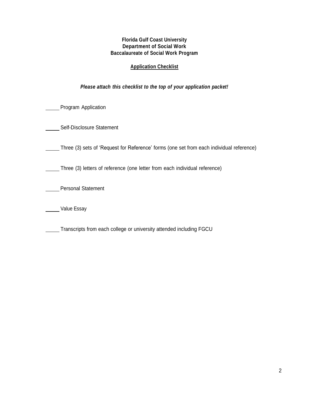#### **Application Checklist**

#### *Please attach this checklist to the top of your application packet!*

Program Application

Self-Disclosure Statement

Three (3) sets of 'Request for Reference' forms (one set from each individual reference)

Three (3) letters of reference (one letter from each individual reference)

Personal Statement

Value Essay

**Transcripts from each college or university attended including FGCU**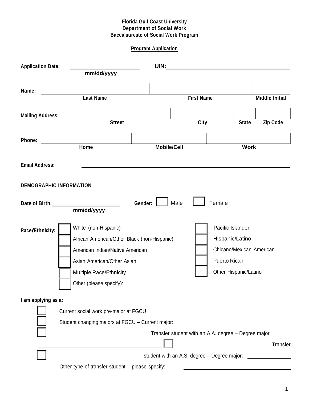# **Program Application**

| <b>Application Date:</b>       |                                                      |                                             |                    |                          |  |
|--------------------------------|------------------------------------------------------|---------------------------------------------|--------------------|--------------------------|--|
|                                | mm/dd/yyyy                                           |                                             |                    |                          |  |
|                                |                                                      |                                             |                    |                          |  |
| Name:                          | <b>Last Name</b>                                     |                                             | <b>First Name</b>  | <b>Middle Initial</b>    |  |
|                                |                                                      |                                             |                    |                          |  |
| <b>Mailing Address:</b>        |                                                      |                                             |                    |                          |  |
|                                | <b>Street</b>                                        |                                             | $\overline{C}$ ity | Zip Code<br><b>State</b> |  |
| Phone:                         |                                                      |                                             |                    |                          |  |
|                                | Home                                                 | <b>Mobile/Cell</b>                          |                    | <b>Work</b>              |  |
|                                |                                                      |                                             |                    |                          |  |
| <b>Email Address:</b>          |                                                      |                                             |                    |                          |  |
|                                |                                                      |                                             |                    |                          |  |
| <b>DEMOGRAPHIC INFORMATION</b> |                                                      |                                             |                    |                          |  |
|                                |                                                      |                                             | Female             |                          |  |
|                                | Date of Birth: _____________<br>mm/dd/yyyy           | Gender:  <br>Male                           |                    |                          |  |
|                                |                                                      |                                             |                    |                          |  |
| Race/Ethnicity:                | White (non-Hispanic)                                 |                                             |                    | Pacific Islander         |  |
|                                | African American/Other Black (non-Hispanic)          |                                             |                    | Hispanic/Latino:         |  |
|                                | American Indian/Native American                      |                                             |                    | Chicano/Mexican American |  |
|                                | Asian American/Other Asian                           |                                             | Puerto Rican       |                          |  |
|                                | <b>Multiple Race/Ethnicity</b>                       |                                             |                    | Other Hispanic/Latino    |  |
|                                | Other (please specify):                              |                                             |                    |                          |  |
|                                |                                                      |                                             |                    |                          |  |
| I am applying as a:            |                                                      |                                             |                    |                          |  |
|                                | Current social work pre-major at FGCU                |                                             |                    |                          |  |
|                                | Student changing majors at FGCU - Current major:     |                                             |                    |                          |  |
|                                | Transfer student with an A.A. degree - Degree major: |                                             |                    |                          |  |
|                                |                                                      |                                             |                    | Transfer                 |  |
|                                |                                                      | student with an A.S. degree - Degree major: |                    |                          |  |
|                                | Other type of transfer student - please specify:     |                                             |                    |                          |  |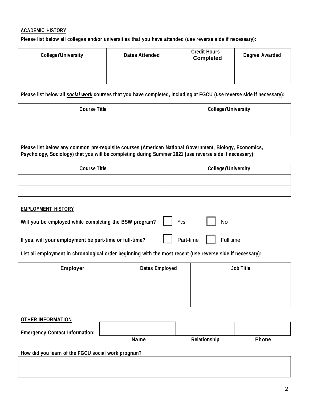#### **ACADEMIC HISTORY**

**Please list below all colleges and/or universities that you have attended (use reverse side if necessary):**

| <b>College/University</b> | <b>Dates Attended</b> | <b>Credit Hours</b><br><b>Completed</b> | Degree Awarded |  |
|---------------------------|-----------------------|-----------------------------------------|----------------|--|
|                           |                       |                                         |                |  |
|                           |                       |                                         |                |  |

Please list below all social work courses that you have completed, including at FGCU (use reverse side if necessary):

| <b>Course Title</b> | <b>College/University</b> |
|---------------------|---------------------------|
|                     |                           |
|                     |                           |

**Please list below any common pre-requisite courses (American National Government, Biology, Economics, Psychology, Sociology) that you will be completing during Summer 2021 (use reverse side if necessary):**

| <b>Course Title</b> | <b>College/University</b> |
|---------------------|---------------------------|
|                     |                           |
|                     |                           |

#### **EMPLOYMENT HISTORY**

| Will you be employed while completing the BSW program?  | Yes                                   | $\overline{\phantom{a}}$ No |  |
|---------------------------------------------------------|---------------------------------------|-----------------------------|--|
| If yes, will your employment be part-time or full-time? | <b>T</b> Part-time <b>T</b> Full time |                             |  |

**List all employment in chronological order beginning with the most recent (use reverse side if necessary):**

| <b>Employer</b> | <b>Dates Employed</b> | <b>Job Title</b> |
|-----------------|-----------------------|------------------|
|                 |                       |                  |
|                 |                       |                  |
|                 |                       |                  |

| <b>OTHER INFORMATION</b>              |                      |              |              |
|---------------------------------------|----------------------|--------------|--------------|
| <b>Emergency Contact Information:</b> |                      |              |              |
|                                       | <b>Name</b>          | Relationship | <b>Phone</b> |
| .<br>.<br>----                        | . .<br>$\rightarrow$ |              |              |

**How did you learn of the FGCU social work program?**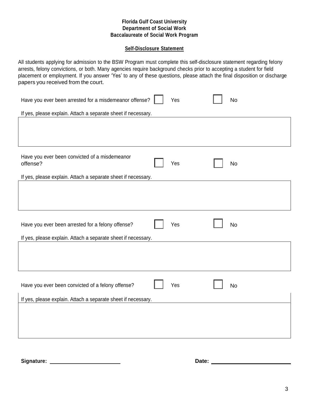#### **Self-Disclosure Statement**

All students applying for admission to the BSW Program must complete this self-disclosure statement regarding felony arrests, felony convictions, or both. Many agencies require background checks prior to accepting a student for field placement or employment. If you answer 'Yes' to any of these questions, please attach the final disposition or discharge papers you received from the court.

| Have you ever been arrested for a misdemeanor offense?<br>Yes<br>No<br>If yes, please explain. Attach a separate sheet if necessary. |  |
|--------------------------------------------------------------------------------------------------------------------------------------|--|
|                                                                                                                                      |  |
|                                                                                                                                      |  |
| Have you ever been convicted of a misdemeanor<br>offense?<br>Yes<br>No                                                               |  |
| If yes, please explain. Attach a separate sheet if necessary.                                                                        |  |
|                                                                                                                                      |  |
| Have you ever been arrested for a felony offense?<br>Yes<br><b>No</b>                                                                |  |
| If yes, please explain. Attach a separate sheet if necessary.                                                                        |  |
|                                                                                                                                      |  |
|                                                                                                                                      |  |
| Have you ever been convicted of a felony offense?<br>Yes<br><b>No</b>                                                                |  |
| If yes, please explain. Attach a separate sheet if necessary.                                                                        |  |
|                                                                                                                                      |  |
|                                                                                                                                      |  |
|                                                                                                                                      |  |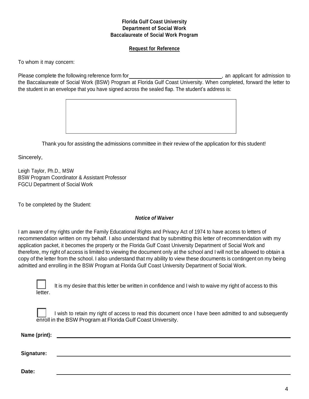#### **Request for Reference**

To whom it may concern:

Please complete the following reference form for example the state of the state of the state of the Please complete the following reference form for the Baccalaureate of Social Work (BSW) Program at Florida Gulf Coast University. When completed, forward the letter to the student in an envelope that you have signed across the sealed flap. The student's address is:



Thank you for assisting the admissions committee in their review of the application for this student!

Sincerely,

Leigh Taylor, Ph.D., MSW BSW Program Coordinator & Assistant Professor FGCU Department of Social Work

To be completed by the Student:

#### *Notice of Waiver*

I am aware of my rights under the Family Educational Rights and Privacy Act of 1974 to have access to letters of recommendation written on my behalf. I also understand that by submitting this letter of recommendation with my application packet, it becomes the property or the Florida Gulf Coast University Department of Social Work and therefore, my right of access is limited to viewing the document only at the school and I will not be allowed to obtain a copy of the letter from the school. I also understand that my ability to view these documents is contingent on my being admitted and enrolling in the BSW Program at Florida Gulf Coast University Department of Social Work.

| Ξ |  |
|---|--|

It is my desire that this letter be written in confidence and I wish to waive my right of access to this

 I wish to retain my right of access to read this document once I have been admitted to and subsequently enroll in the BSW Program at Florida Gulf Coast University.

| Name (print): |  |  |  |
|---------------|--|--|--|
| Signature:    |  |  |  |
| Date:         |  |  |  |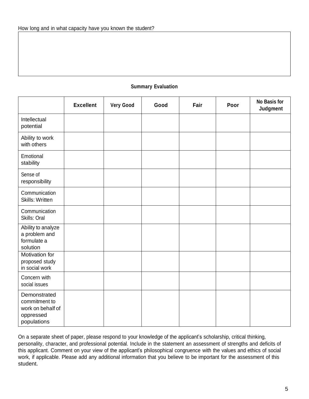#### **Summary Evaluation**

|                                                                                | <b>Excellent</b> | <b>Very Good</b> | Good | Fair | Poor | <b>No Basis for</b><br>Judgment |
|--------------------------------------------------------------------------------|------------------|------------------|------|------|------|---------------------------------|
| Intellectual<br>potential                                                      |                  |                  |      |      |      |                                 |
| Ability to work<br>with others                                                 |                  |                  |      |      |      |                                 |
| Emotional<br>stability                                                         |                  |                  |      |      |      |                                 |
| Sense of<br>responsibility                                                     |                  |                  |      |      |      |                                 |
| Communication<br><b>Skills: Written</b>                                        |                  |                  |      |      |      |                                 |
| Communication<br>Skills: Oral                                                  |                  |                  |      |      |      |                                 |
| Ability to analyze<br>a problem and<br>formulate a<br>solution                 |                  |                  |      |      |      |                                 |
| Motivation for<br>proposed study<br>in social work                             |                  |                  |      |      |      |                                 |
| Concern with<br>social issues                                                  |                  |                  |      |      |      |                                 |
| Demonstrated<br>commitment to<br>work on behalf of<br>oppressed<br>populations |                  |                  |      |      |      |                                 |

On a separate sheet of paper, please respond to your knowledge of the applicant's scholarship, critical thinking, personality, character, and professional potential. Include in the statement an assessment of strengths and deficits of this applicant. Comment on your view of the applicant's philosophical congruence with the values and ethics of social work, if applicable. Please add any additional information that you believe to be important for the assessment of this student.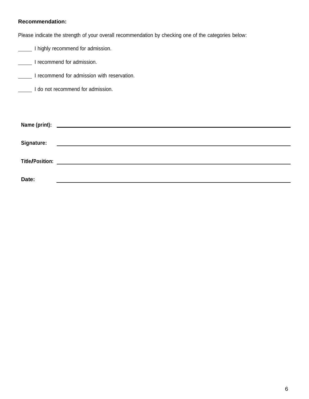# **Recommendation:**

Please indicate the strength of your overall recommendation by checking one of the categories below:

**I** highly recommend for admission.

**I** recommend for admission.

**I recommend for admission with reservation.** 

**I do not recommend for admission.** 

| Name (print):   | <u> 1989 - Johann Stein, mars and de Branch and de Branch and de Branch and de Branch and de Branch and de Branch</u> |
|-----------------|-----------------------------------------------------------------------------------------------------------------------|
| Signature:      |                                                                                                                       |
|                 |                                                                                                                       |
| Title/Position: |                                                                                                                       |
| Date:           |                                                                                                                       |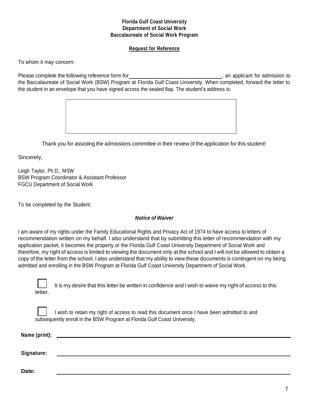#### **Request for Reference**

To whom it may concern:

Please complete the following reference form for example the state of the state of the state of the Please complete the following reference form for the Baccalaureate of Social Work (BSW) Program at Florida Gulf Coast University. When completed, forward the letter to the student in an envelope that you have signed across the sealed flap. The student's address is:



Thank you for assisting the admissions committee in their review of the application for this student!

Sincerely,

Leigh Taylor, Ph.D., MSW BSW Program Coordinator & Assistant Professor FGCU Department of Social Work

To be completed by the Student:

#### *Notice of Waiver*

I am aware of my rights under the Family Educational Rights and Privacy Act of 1974 to have access to letters of recommendation written on my behalf. I also understand that by submitting this letter of recommendation with my application packet, it becomes the property or the Florida Gulf Coast University Department of Social Work and therefore, my right of access is limited to viewing the document only at the school and I will not be allowed to obtain a copy of the letter from the school. I also understand that my ability to view these documents is contingent on my being admitted and enrolling in the BSW Program at Florida Gulf Coast University Department of Social Work.

It is my desire that this letter be written in confidence and I wish to waive my right of access to this

I wish to retain my right of access to read this document once I have been admitted to and subsequently enroll in the BSW Program at Florida Gulf Coast University.

| Name (print): | <u> 1989 - John Harry Harry Harry Harry Harry Harry Harry Harry Harry Harry Harry Harry Harry Harry Harry Harry H</u> |  |  |
|---------------|-----------------------------------------------------------------------------------------------------------------------|--|--|
| Signature:    |                                                                                                                       |  |  |
| Date:         |                                                                                                                       |  |  |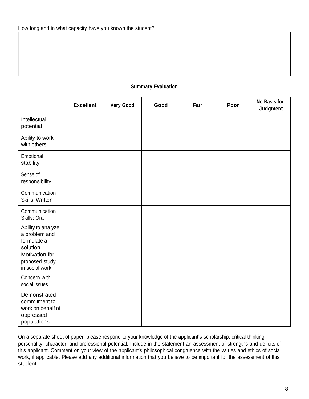#### **Summary Evaluation**

|                                                                                | <b>Excellent</b> | <b>Very Good</b> | Good | Fair | Poor | <b>No Basis for</b><br>Judgment |
|--------------------------------------------------------------------------------|------------------|------------------|------|------|------|---------------------------------|
| Intellectual<br>potential                                                      |                  |                  |      |      |      |                                 |
| Ability to work<br>with others                                                 |                  |                  |      |      |      |                                 |
| Emotional<br>stability                                                         |                  |                  |      |      |      |                                 |
| Sense of<br>responsibility                                                     |                  |                  |      |      |      |                                 |
| Communication<br><b>Skills: Written</b>                                        |                  |                  |      |      |      |                                 |
| Communication<br>Skills: Oral                                                  |                  |                  |      |      |      |                                 |
| Ability to analyze<br>a problem and<br>formulate a<br>solution                 |                  |                  |      |      |      |                                 |
| Motivation for<br>proposed study<br>in social work                             |                  |                  |      |      |      |                                 |
| Concern with<br>social issues                                                  |                  |                  |      |      |      |                                 |
| Demonstrated<br>commitment to<br>work on behalf of<br>oppressed<br>populations |                  |                  |      |      |      |                                 |

On a separate sheet of paper, please respond to your knowledge of the applicant's scholarship, critical thinking, personality, character, and professional potential. Include in the statement an assessment of strengths and deficits of this applicant. Comment on your view of the applicant's philosophical congruence with the values and ethics of social work, if applicable. Please add any additional information that you believe to be important for the assessment of this student.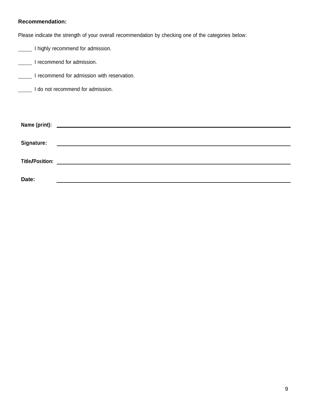# **Recommendation:**

Please indicate the strength of your overall recommendation by checking one of the categories below:

**I** highly recommend for admission.

**I** recommend for admission.

**I recommend for admission with reservation.** 

**I do not recommend for admission.** 

| Signature: | <u> 1980 - Jan Samuel Barbara, martin da shekara 1980 - An tsara 1980 - An tsara 1980 - An tsara 1980 - An tsara</u>                                                                                                                |
|------------|-------------------------------------------------------------------------------------------------------------------------------------------------------------------------------------------------------------------------------------|
|            |                                                                                                                                                                                                                                     |
|            | <b>Title/Position:</b> The second service of the service of the service of the service of the service of the service of the service of the service of the service of the service of the service of the service of the service of th |
| Date:      |                                                                                                                                                                                                                                     |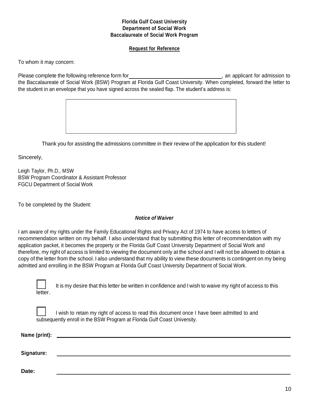#### **Request for Reference**

To whom it may concern:

Please complete the following reference form for  $\blacksquare$  , an applicant for admission to the Baccalaureate of Social Work (BSW) Program at Florida Gulf Coast University. When completed, forward the letter to the student in an envelope that you have signed across the sealed flap. The student's address is:



Thank you for assisting the admissions committee in their review of the application for this student!

Sincerely,

Leigh Taylor, Ph.D., MSW BSW Program Coordinator & Assistant Professor FGCU Department of Social Work

To be completed by the Student:

#### *Notice of Waiver*

I am aware of my rights under the Family Educational Rights and Privacy Act of 1974 to have access to letters of recommendation written on my behalf. I also understand that by submitting this letter of recommendation with my application packet, it becomes the property or the Florida Gulf Coast University Department of Social Work and therefore, my right of access is limited to viewing the document only at the school and I will not be allowed to obtain a copy of the letter from the school. I also understand that my ability to view these documents is contingent on my being admitted and enrolling in the BSW Program at Florida Gulf Coast University Department of Social Work.

| etter |
|-------|

It is my desire that this letter be written in confidence and I wish to waive my right of access to this

I wish to retain my right of access to read this document once I have been admitted to and subsequently enroll in the BSW Program at Florida Gulf Coast University.

| Signature: |  |  |  |
|------------|--|--|--|
| Date:      |  |  |  |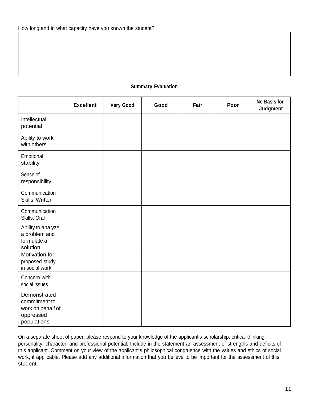#### **Summary Evaluation**

|                                                                                | <b>Excellent</b> | <b>Very Good</b> | Good | Fair | Poor | <b>No Basis for</b><br>Judgment |
|--------------------------------------------------------------------------------|------------------|------------------|------|------|------|---------------------------------|
| Intellectual<br>potential                                                      |                  |                  |      |      |      |                                 |
| Ability to work<br>with others                                                 |                  |                  |      |      |      |                                 |
| Emotional<br>stability                                                         |                  |                  |      |      |      |                                 |
| Sense of<br>responsibility                                                     |                  |                  |      |      |      |                                 |
| Communication<br><b>Skills: Written</b>                                        |                  |                  |      |      |      |                                 |
| Communication<br>Skills: Oral                                                  |                  |                  |      |      |      |                                 |
| Ability to analyze<br>a problem and<br>formulate a<br>solution                 |                  |                  |      |      |      |                                 |
| Motivation for<br>proposed study<br>in social work                             |                  |                  |      |      |      |                                 |
| Concern with<br>social issues                                                  |                  |                  |      |      |      |                                 |
| Demonstrated<br>commitment to<br>work on behalf of<br>oppressed<br>populations |                  |                  |      |      |      |                                 |

On a separate sheet of paper, please respond to your knowledge of the applicant's scholarship, critical thinking, personality, character, and professional potential. Include in the statement an assessment of strengths and deficits of this applicant. Comment on your view of the applicant's philosophical congruence with the values and ethics of social work, if applicable. Please add any additional information that you believe to be important for the assessment of this student.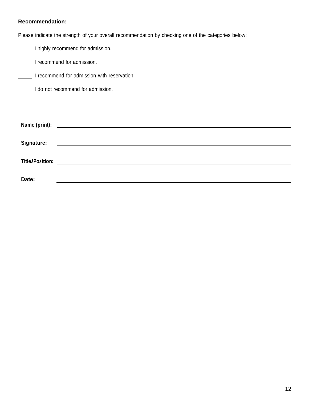# **Recommendation:**

Please indicate the strength of your overall recommendation by checking one of the categories below:

**I** highly recommend for admission.

**I** recommend for admission.

**I recommend for admission with reservation.** 

**I do not recommend for admission.** 

| Signature:      | <u> 1980 - Jan Samuel Barbara, martin da shekara 1980 - An tsara 1980 - An tsara 1980 - An tsara 1980 - An tsara</u> |
|-----------------|----------------------------------------------------------------------------------------------------------------------|
|                 |                                                                                                                      |
| Title/Position: |                                                                                                                      |
| Date:           |                                                                                                                      |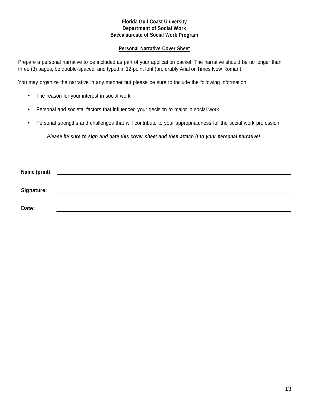#### **Personal Narrative Cover Sheet**

Prepare a personal narrative to be included as part of your application packet. The narrative should be no longer than three (3) pages, be double-spaced, and typed in 12-point font (preferably Arial or Times New Roman).

You may organize the narrative in any manner but please be sure to include the following information:

- The reason for your interest in social work
- Personal and societal factors that influenced your decision to major in social work
- Personal strengths and challenges that will contribute to your appropriateness for the social work profession

*Please be sure to sign and date this cover sheet and then attach it to your personal narrative!*

| Name (print): |  |
|---------------|--|
| Signature:    |  |
| Date:         |  |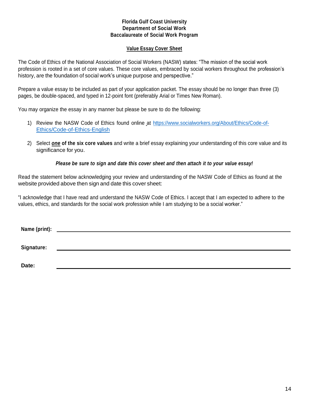#### **Value Essay Cover Sheet**

The Code of Ethics of the National Association of Social Workers (NASW) states: "The mission of the social work profession is rooted in a set of core values. These core values, embraced by social workers throughout the profession's history, are the foundation of social work's unique purpose and perspective."

Prepare a value essay to be included as part of your application packet. The essay should be no longer than three (3) pages, be double-spaced, and typed in 12-point font (preferably Arial or Times New Roman).

You may organize the essay in any manner but please be sure to do the following:

- 1) Review the NASW Code of Ethics found online at [https://www.socialworkers.org/About/Ethics/Code-of-](https://www.socialworkers.org/About/Ethics/Code-of-Ethics/Code-of-Ethics-English)[Ethics/Code-of-Ethics-English](https://www.socialworkers.org/About/Ethics/Code-of-Ethics/Code-of-Ethics-English)
- 2) Select *one* **of the six core values** and write a brief essay explaining your understanding of this core value and its significance for you.

#### *Please be sure to sign and date this cover sheet and then attach it to your value essay!*

Read the statement below acknowledging your review and understanding of the NASW Code of Ethics as found at the website provided above then sign and date this cover sheet:

"I acknowledge that I have read and understand the NASW Code of Ethics. I accept that I am expected to adhere to the values, ethics, and standards for the social work profession while I am studying to be a social worker."

| Name (print): | <u> 1989 - Andrea Andrew Maria (h. 1989).</u> |
|---------------|-----------------------------------------------|
| Signature:    |                                               |
| Date:         |                                               |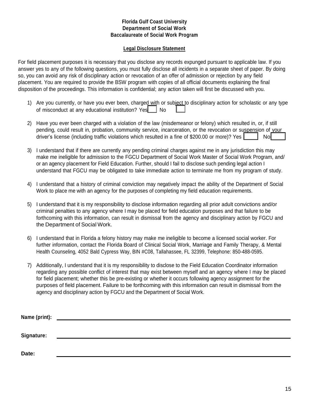#### **Legal Disclosure Statement**

For field placement purposes it is necessary that you disclose any records expunged pursuant to applicable law. If you answer yes to any of the following questions, you must fully disclose all incidents in a separate sheet of paper. By doing so, you can avoid any risk of disciplinary action or revocation of an offer of admission or rejection by any field placement. You are required to provide the BSW program with copies of all official documents explaining the final disposition of the proceedings. This information is confidential; any action taken will first be discussed with you.

- 1) Are you currently, or have you ever been, charged with or subject to disciplinary action for scholastic or any type of misconduct at any educational institution? Yes No
- $\mathsf{Nol}$ 2) Have you ever been charged with a violation of the law (misdemeanor or felony) which resulted in, or, if still pending, could result in, probation, community service, incarceration, or the revocation or suspension of your driver's license (including traffic violations which resulted in a fine of \$200.00 or more)? Yes
- 3) I understand that if there are currently any pending criminal charges against me in any jurisdiction this may make me ineligible for admission to the FGCU Department of Social Work Master of Social Work Program, and/ or an agency placement for Field Education. Further, should I fail to disclose such pending legal action I understand that FGCU may be obligated to take immediate action to terminate me from my program of study.
- 4) I understand that a history of criminal conviction may negatively impact the ability of the Department of Social Work to place me with an agency for the purposes of completing my field education requirements.
- 5) I understand that it is my responsibility to disclose information regarding all prior adult convictions and/or criminal penalties to any agency where I may be placed for field education purposes and that failure to be forthcoming with this information, can result in dismissal from the agency and disciplinary action by FGCU and the Department of Social Work.
- 6) I understand that in Florida a felony history may make me ineligible to become a licensed social worker. For further information, contact the Florida Board of Clinical Social Work, Marriage and Family Therapy, & Mental Health Counseling, 4052 Bald Cypress Way, BIN #C08, Tallahassee, FL 32399, Telephone: 850-488-0595.
- 7) Additionally, I understand that it is my responsibility to disclose to the Field Education Coordinator information regarding any possible conflict of interest that may exist between myself and an agency where I may be placed for field placement; whether this be pre-existing or whether it occurs following agency assignment for the purposes of field placement. Failure to be forthcoming with this information can result in dismissal from the agency and disciplinary action by FGCU and the Department of Social Work.

| Name (print): |  |  |
|---------------|--|--|
| Signature:    |  |  |
| Date:         |  |  |